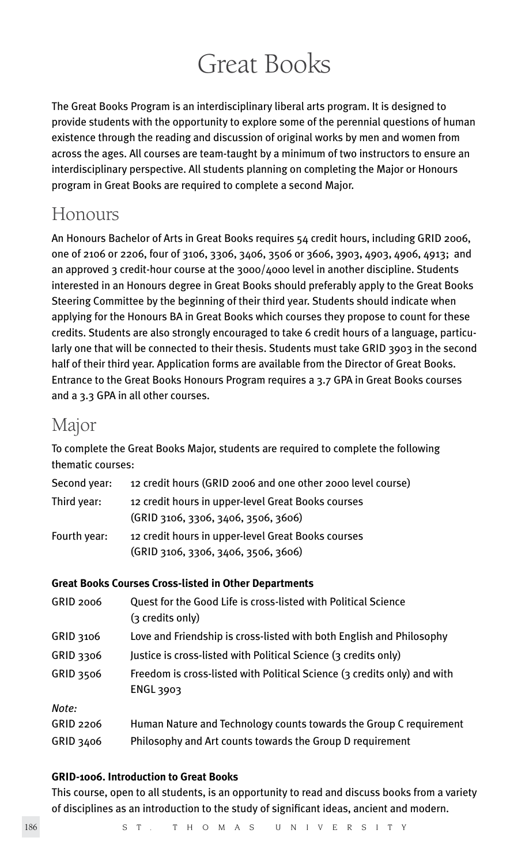# Great Books

The Great Books Program is an interdisciplinary liberal arts program. It is designed to provide students with the opportunity to explore some of the perennial questions of human existence through the reading and discussion of original works by men and women from across the ages. All courses are team-taught by a minimum of two instructors to ensure an interdisciplinary perspective. All students planning on completing the Major or Honours program in Great Books are required to complete a second Major.

# Honours

An Honours Bachelor of Arts in Great Books requires 54 credit hours, including GRID 2006, one of 2106 or 2206, four of 3106, 3306, 3406, 3506 or 3606, 3903, 4903, 4906, 4913; and an approved 3 credit-hour course at the  $3000/4000$  level in another discipline. Students interested in an Honours degree in Great Books should preferably apply to the Great Books Steering Committee by the beginning of their third year. Students should indicate when applying for the Honours BA in Great Books which courses they propose to count for these credits. Students are also strongly encouraged to take 6 credit hours of a language, particularly one that will be connected to their thesis. Students must take GRID 3903 in the second half of their third year. Application forms are available from the Director of Great Books. Entrance to the Great Books Honours Program requires a 3.7 GPA in Great Books courses and a 3.3 GPA in all other courses.

# Major

To complete the Great Books Major, students are required to complete the following thematic courses:

| Second year: | 12 credit hours (GRID 2006 and one other 2000 level course)                               |
|--------------|-------------------------------------------------------------------------------------------|
| Third year:  | 12 credit hours in upper-level Great Books courses<br>(GRID 3106, 3306, 3406, 3506, 3606) |
| Fourth year: | 12 credit hours in upper-level Great Books courses<br>(GRID 3106, 3306, 3406, 3506, 3606) |

# **Great Books Courses Cross-listed in Other Departments**

| <b>GRID 2006</b> | Quest for the Good Life is cross-listed with Political Science<br>(3 credits only)    |
|------------------|---------------------------------------------------------------------------------------|
| GRID 3106        | Love and Friendship is cross-listed with both English and Philosophy                  |
| GRID 3306        | Justice is cross-listed with Political Science (3 credits only)                       |
| <b>GRID 3506</b> | Freedom is cross-listed with Political Science (3 credits only) and with<br>ENGL 3903 |
| Note:            |                                                                                       |
| GRID 2206        | Human Nature and Technology counts towards the Group C requirement                    |
| GRID 3406        | Philosophy and Art counts towards the Group D requirement                             |
|                  |                                                                                       |

# **GRID-1006. Introduction to Great Books**

This course, open to all students, is an opportunity to read and discuss books from a variety of disciplines as an introduction to the study of significant ideas, ancient and modern.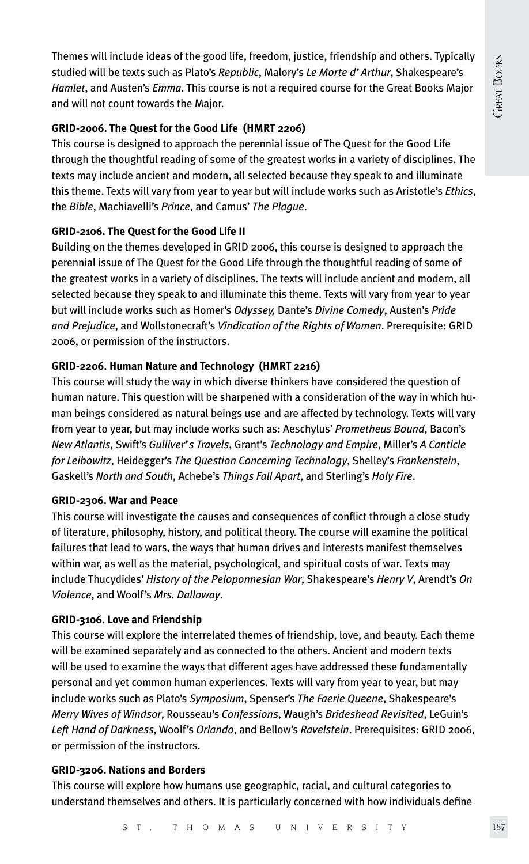Themes will include ideas of the good life, freedom, justice, friendship and others. Typically studied will be texts such as Plato's *Republic*, Malory's *Le Morte d'Arthur*, Shakespeare's *Hamlet*, and Austen's *Emma*. This course is not a required course for the Great Books Major and will not count towards the Major.

### **GRID-2006. The Quest for the Good Life (HMRT 2206)**

This course is designed to approach the perennial issue of The Quest for the Good Life through the thoughtful reading of some of the greatest works in a variety of disciplines. The texts may include ancient and modern, all selected because they speak to and illuminate this theme. Texts will vary from year to year but will include works such as Aristotle's *Ethics*, the *Bible*, Machiavelli's *Prince*, and Camus' *The Plague*.

# **GRID-2106. The Quest for the Good Life II**

Building on the themes developed in GRID 2006, this course is designed to approach the perennial issue of The Quest for the Good Life through the thoughtful reading of some of the greatest works in a variety of disciplines. The texts will include ancient and modern, all selected because they speak to and illuminate this theme. Texts will vary from year to year but will include works such as Homer's *Odyssey,* Dante's *Divine Comedy*, Austen's *Pride and Prejudice*, and Wollstonecraft's *Vindication of the Rights of Women*. Prerequisite: GRID 2006, or permission of the instructors.

# **GRID-2206. Human Nature and Technology (HMRT 2216)**

This course will study the way in which diverse thinkers have considered the question of human nature. This question will be sharpened with a consideration of the way in which human beings considered as natural beings use and are affected by technology. Texts will vary from year to year, but may include works such as: Aeschylus' *Prometheus Bound*, Bacon's *New Atlantis*, Swift's *Gulliver's Travels*, Grant's *Technology and Empire*, Miller's *A Canticle for Leibowitz*, Heidegger's *The Question Concerning Technology*, Shelley's *Frankenstein*, Gaskell's *North and South*, Achebe's *Things Fall Apart*, and Sterling's *Holy Fire*.

#### **GRID-2306. War and Peace**

This course will investigate the causes and consequences of conflict through a close study of literature, philosophy, history, and political theory. The course will examine the political failures that lead to wars, the ways that human drives and interests manifest themselves within war, as well as the material, psychological, and spiritual costs of war. Texts may include Thucydides' *History of the Peloponnesian War*, Shakespeare's *Henry V*, Arendt's *On Violence*, and Woolf's *Mrs. Dalloway*.

# **GRID-3106. Love and Friendship**

This course will explore the interrelated themes of friendship, love, and beauty. Each theme will be examined separately and as connected to the others. Ancient and modern texts will be used to examine the ways that different ages have addressed these fundamentally personal and yet common human experiences. Texts will vary from year to year, but may include works such as Plato's *Symposium*, Spenser's *The Faerie Queene*, Shakespeare's *Merry Wives of Windsor*, Rousseau's *Confessions*, Waugh's *Brideshead Revisited*, LeGuin's *Left Hand of Darkness*, Woolf's *Orlando*, and Bellow's *Ravelstein*. Prerequisites: GRID 2006, or permission of the instructors.

#### **GRID-3206. Nations and Borders**

This course will explore how humans use geographic, racial, and cultural categories to understand themselves and others. It is particularly concerned with how individuals define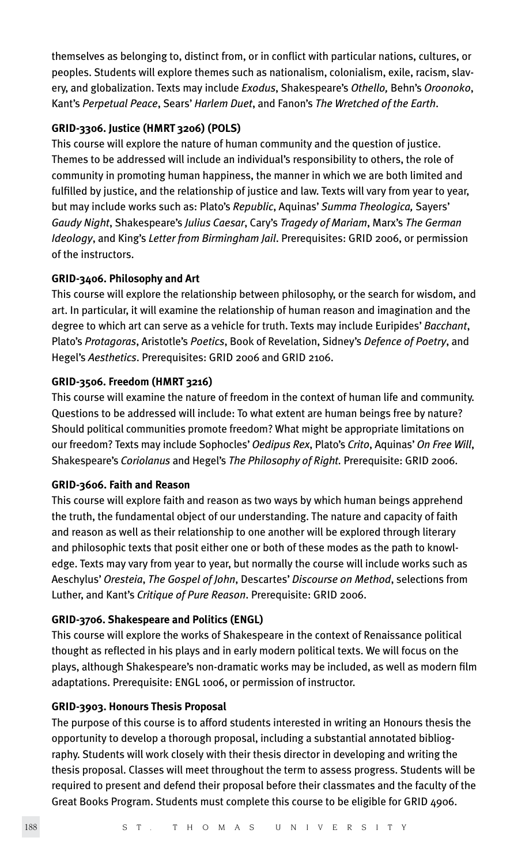themselves as belonging to, distinct from, or in conflict with particular nations, cultures, or peoples. Students will explore themes such as nationalism, colonialism, exile, racism, slavery, and globalization. Texts may include *Exodus*, Shakespeare's *Othello,* Behn's *Oroonoko*, Kant's *Perpetual Peace*, Sears' *Harlem Duet*, and Fanon's *The Wretched of the Earth*.

#### **GRID-3306. Justice (HMRT 3206) (POLS)**

This course will explore the nature of human community and the question of justice. Themes to be addressed will include an individual's responsibility to others, the role of community in promoting human happiness, the manner in which we are both limited and fulfilled by justice, and the relationship of justice and law. Texts will vary from year to year, but may include works such as: Plato's *Republic*, Aquinas' *Summa Theologica,* Sayers' *Gaudy Night*, Shakespeare's *Julius Caesar*, Cary's *Tragedy of Mariam*, Marx's *The German Ideology*, and King's *Letter from Birmingham Jail*. Prerequisites: GRID 2006, or permission of the instructors.

#### **GRID-3406. Philosophy and Art**

This course will explore the relationship between philosophy, or the search for wisdom, and art. In particular, it will examine the relationship of human reason and imagination and the degree to which art can serve as a vehicle for truth. Texts may include Euripides' *Bacchant*, Plato's *Protagoras*, Aristotle's *Poetics*, Book of Revelation, Sidney's *Defence of Poetry*, and Hegel's *Aesthetics*. Prerequisites: GRID 2006 and GRID 2106.

#### **GRID-3506. Freedom (HMRT 3216)**

This course will examine the nature of freedom in the context of human life and community. Questions to be addressed will include: To what extent are human beings free by nature? Should political communities promote freedom? What might be appropriate limitations on our freedom? Texts may include Sophocles' *Oedipus Rex*, Plato's *Crito*, Aquinas' *On Free Will*, Shakespeare's *Coriolanus* and Hegel's *The Philosophy of Right.* Prerequisite: GRID 2006.

#### **GRID-3606. Faith and Reason**

This course will explore faith and reason as two ways by which human beings apprehend the truth, the fundamental object of our understanding. The nature and capacity of faith and reason as well as their relationship to one another will be explored through literary and philosophic texts that posit either one or both of these modes as the path to knowledge. Texts may vary from year to year, but normally the course will include works such as Aeschylus' *Oresteia*, *The Gospel of John*, Descartes' *Discourse on Method*, selections from Luther, and Kant's *Critique of Pure Reason*. Prerequisite: GRID 2006.

#### **GRID-3706. Shakespeare and Politics (ENGL)**

This course will explore the works of Shakespeare in the context of Renaissance political thought as reflected in his plays and in early modern political texts. We will focus on the plays, although Shakespeare's non-dramatic works may be included, as well as modern film adaptations. Prerequisite: ENGL 1006, or permission of instructor.

#### **GRID-3903. Honours Thesis Proposal**

The purpose of this course is to afford students interested in writing an Honours thesis the opportunity to develop a thorough proposal, including a substantial annotated bibliography. Students will work closely with their thesis director in developing and writing the thesis proposal. Classes will meet throughout the term to assess progress. Students will be required to present and defend their proposal before their classmates and the faculty of the Great Books Program. Students must complete this course to be eligible for GRID 4906.